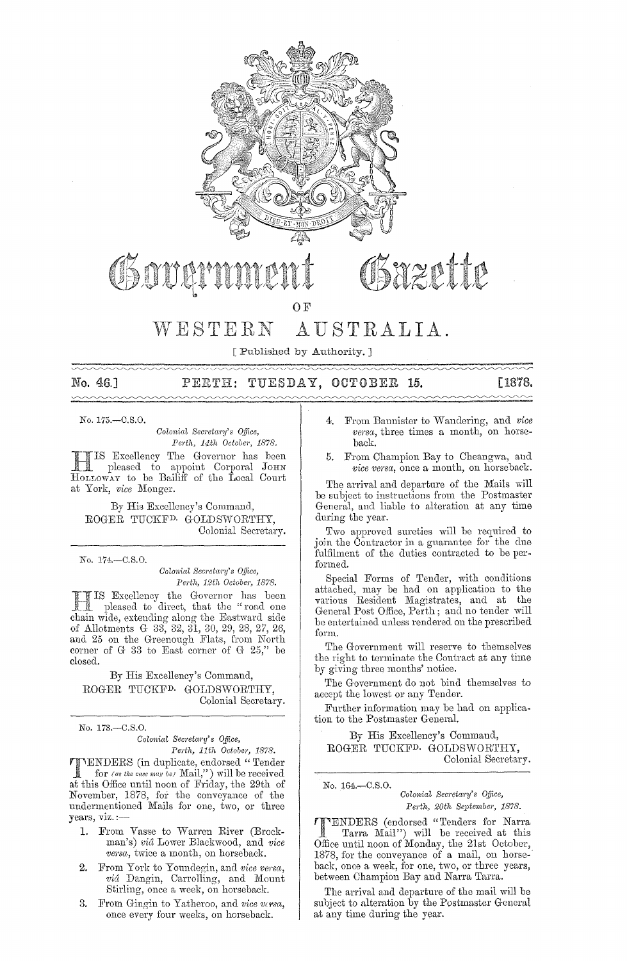

OF

## vVESTERN AUSTRALIA.

[Published by Authority. ]

No. 46.1  $\sim\sim\sim$ 

#### TUESDAY, OCTOBER PERTH: - 15.

[1878.

No. 175.-C.S.O.

*Colonial Secretary's Office, Perth, 14,th October, 1878.* 

TIS Excellency The Governor has been JC: pleased to appoint Corporal JOHN HOLLOWAY to be Bailiff of the Local Court at York, *vice* Monger.

By His Excellency's Command, ROGER TUCKFD. GOLDSWORTHY, Colonial Secretary.

No. 174.-C.8.0.

*Colonial Secretary's Office, Pe,.th, 12th October, 1878.* 

III IS Excellency the Governor has been<br>
II pleased to direct, that the "road one chain wide, extending along the Eastward side of Allotmcnts G 33, 32, 31, 30, 29, 28, 27, 26, and 25 on the Greenough Flats, from North corner of G 33 to East corner of G  $25$ ," be closed.

By His Excellency's Command, ROGER TUCKFD. GOLDSWORTHY, Colonial Secretary.

No. 173.-C.S.0.

*Colonial Secretary's Office, Perth, 11th October, 1878.* 

**TIMERS** (in duplicate, endorsed "Tender for (as the case may be)  $\text{Mail,"}$ ) will be received at this Office until noon of Friday, the 29th of November, 1878, for the conveyance of the undermentioned Mails for one, two, or three years, viz. :—

- 1. From Vasse to Warren River (Brockman's) *vici* Lower Blackwooc1, and *vice versa*, twice a month, on horseback.
- 2. From York to Youndegin, and *vice versa*, *vid* Dangin, Carrolling, and Mount Stirling, once a week, on horseback.
- 3. From Gingin to Yatheroo, and *vice versa*, once every four weeks, on horseback.
- From Bannister to Wandering, and *vice versa*, three times a month, on horseback.
- 5. From Champion Bay to Cheangwa, and *vice versa*, once a month, on horseback.

The arrival and departure of the Mails will be subject to instructions from the Postmaster Geneml, and liable to alteration at any time during the year.

Two approved sureties will be required to join the Contractor in a guarantee for the due fulfilment of the duties contracted to be performed.

Special Forms of Tender, with conditions attached, may be had on application to tbe various Resident Magistrates, and at the General Post Office, Perth; and no tender will be entertained unless rendered on the prescribed form.

The Goyernment will reserve to themselves the right to terminate the Contract at any time by giving three months' notice.

The Goyernment do not bind themselves to accept the lowest or any Tender.

Further information may be had on application to the Postmaster General.

By His Excellency's Command, ROGER TUCKFD. GOIJDSWORTHY, Colonial Secretary.

No, 164.~C.S.O, *Colonial Secl'etm'y's Office, Pel'th, 20th September, 1878.* 

**TENDERS** (endorsed "Tenders for Narra<br>
Tarra Mail") will be received at this<br>
Office until peap of Mander, the 31st October Office until noon of Monday, the 21st October, 1878, for the conveyance of a mail, on horse-· back, once a week, for one, two, or three years, between Champion Bay and Narra Tarra.

The arrival and departure of the mail will be subject to alteration by the Postmaster General at any time during the year.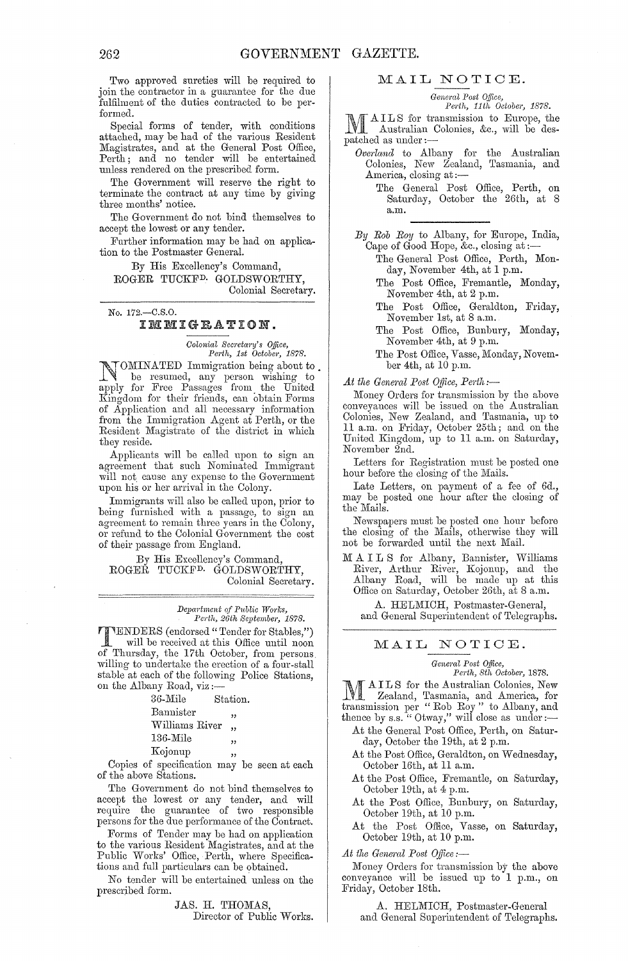Two approved sureties will be required to join the contractor in a guarantee for the due fulfilment of the duties contracted to be performed.

Special forms of tender, with conditions attached, may be had of the various Resident Magistrates, and at the General Post Office, Perth; and no tender will be entertained unless rendered on the prescribed form.

The Government will reserve the right to terminate the contract at any time by giving three months' notice.

The Government do not bind themselves to accept the lowest or any tender.

Further information may be had on application to the Postmaster General.

By His Excellency's Command, ROGER TUCKF<sup>D.</sup> GOLDSWORTHY, Colonial Secretary.

No. 172.-C.S.O. IMMIGRATION.

*Colonial Secretary's Office,*<br>Perth, 1st October, 1878.

Lower, 1878.<br> **LOMINATED** Immigration being about to. -1 ~ be resumed, any person wishing to apply for Free Passages from the United Kingdom for their friends, can obtain Forms of Application and all necessary information from the Immigration Agent at Perth, or the Resident Magistrate of the district in which they reside.

Applicants will be caned upon to sign an agreement that such Nominated Immigrant will not cause any expense to the Government upon his or her arrival in the Colony.

Immigrants will also be called upon, prior to being furnished with a passage, to sign an agreement to remain three years in the Colony, 01' refund to the Colonial Government the cost of their passage from England.

By His Excellency's Command, ROGER TUCKFD. GOLDSWORTHY, Colonial Secretary.

> *Department of Pnblic W01'ks, Perth, 26th September, 1878.*

**THENDERS** (endorsed "Tender for Stables,") will be received at this Office until noon of Thursday, the 17th October, from persons willing to undertake the erection of a four-stall stable at each of the following Police Stations,<br>on the Albany Road, viz :--<br> $36$ -Mile Station.

Station. Bannister Williams River, 136-Mile "

Copies of specification may be seen at each of the above Stations.

The Government do not bind tbemselves to accept the lowest or any tender, and will require the guarantee of two responsible persons for the due performance of the Contract.

Forms of Tender may be had on application to the various Resident Magistrates, and at the Public Works' Office, Perth, where Specifications and full particulars can be obtained.

No tender will be entertained unless on the prescribed form.

> JAS. H. THOMAS, Director of Public Works.

#### MAIL NOTIOE.

*Geneml Post Office, Perth, 11th October, 1878.* 

AILS for transmission to Europe, the Australian Colonies, &c., will be des-**WE** Australian<br>patched as under :-

- *Overlancl* to Albany for the Australian Colonies, New Zealand, Tasmania, and America, closing at:-
	- The General Post Office, Perth, on Saturday, October the 26th, at 8 a.m.

*By Rob Ray* to Albany, for Europe, India, Cape of Good Hope, &c., closing at ;-

- The General Post Office, Perth, Monday, November 4th, at 1 p.m.
- The Post Office, Fremantle, Monday, November 4th, at 2 p.m.
- The Post Office, Geraldton, Friday, November 1st, at 8 a.m.
- The Post Office, Bunbury, Monday, November 4th, at 9 p.m.
- The Post Office, Vasse, Monday, November 4th, at 10 p.m.

At the General Post Office, Perth:-

Money Orders for transmission by the above conveyances will be issued on the Australian Colonies, New Zealand, and Tasmania, up to 11 a.m. on Friday, October 25th; and on the United Kingdom, up to 11 a.m. on Saturday, November 2nd.

Letters for Registration must be posted one hour before the closing of the Mails.

Late Letters, on payment of a fee of 6d., may be posted one hour after the closing of the Mails.

Newspapers must be posted one hour before the closing of the Mails, otherwise they will not be forwarded until the next Mail.

M A I L S for Albany, Bannister, Williams River, Arthur River, Kojonup, and the Albany Road, will be made up at this Office on Saturday, October 26th, at 8 a.m.

A. HELMICH, Postmaster-General, and General Superintendent of Telegraphs.

### MAIL NOTIOE.

*General Post Office,*<br>*Perth, 8th October,* 1878.

*Perth, 8th October, 1878.*<br> **M** A I L S for the Australian Colonies, New 1V1 Zealand, Tasmania, and America, for transmission per "Rob Roy" to Albany, and thence by s.s. "Otway," will close as under:-

- At the General Post Office, Perth, on Saturday, October the 19th, at 2 p.m.
- At the Post Office, Geraldton, on Wednesday, October 16th, at 11 a.m.
- At the Post Office, Fremantle, on Saturday, October 19th, at 4 p.m.
- At the Post Office, Bunbury, on Saturday, October 19th, at 10 p.m.
- At the Post Office, Vasse, on Saturday, October 19th, at 10 p.m.

At the General Post Office:-

Money Orders for transmission by the above conveyance will be issued up to 1 p.m., on Friday, October 18th.

A. HELMICH, Postmaster-General and General Superintendent of Telegraphs.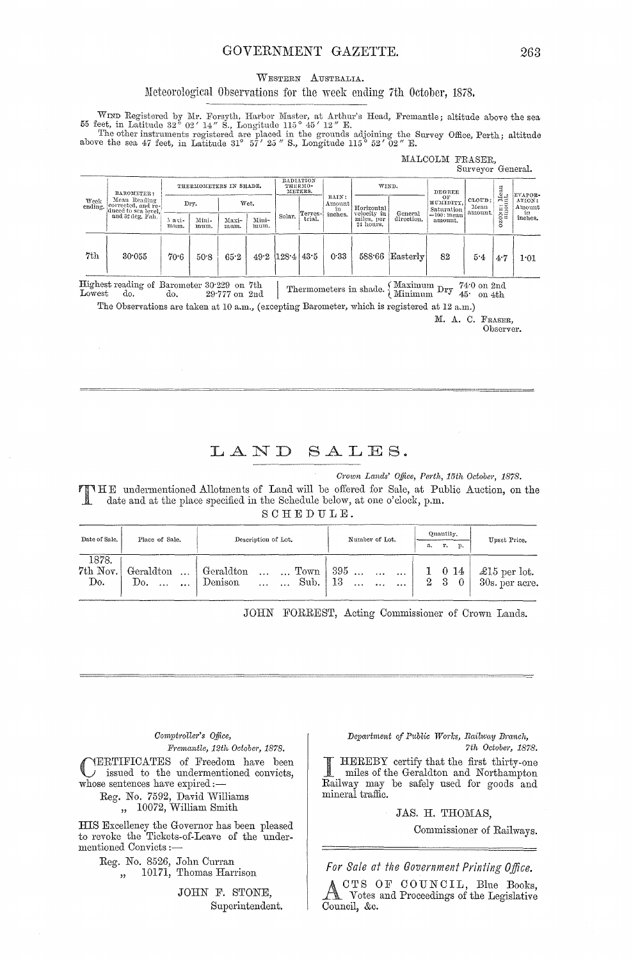## GOVERNMENT GAZETTE.

#### WESTERN AUSTRALIA.

#### Meteorological Observations for the week ending 7th October, 1878.

WIND Registered by Mr. Forsyth, Harbor Master, at Arthur's Head, Fremantle; altitude above the sea 55 feet, in Latitude 32° 02' 14" S., Longitude 115° 45' 12" E.<br>The other instruments registered are placed in the grounds

# MALCOLM FRASER,

| Week<br>ending. | BAROMETER:<br>Mean Reading<br>corrected, and re-<br>duced to sea level.<br>and 32 deg. Fah. | THERMOMETERS IN SHADE. |               |               |               | RADIATION<br>THERMO-<br>METERS. |         |                                  | WIND.                                |                               | <b>DEGREE</b>             | parsever defieral. |                                  |         |
|-----------------|---------------------------------------------------------------------------------------------|------------------------|---------------|---------------|---------------|---------------------------------|---------|----------------------------------|--------------------------------------|-------------------------------|---------------------------|--------------------|----------------------------------|---------|
|                 |                                                                                             | Drv.                   |               | Wet.          |               |                                 | Terres- | RAIN:<br>Amount<br>in<br>inches. | Horizontal<br>velocity in<br>General | OF<br>HUMIDITY.<br>Saturation | CLOUD:<br>Mean<br>amount. | CONE: Mean         | EVAPOR-<br>ATION:<br>Amount<br>m |         |
|                 |                                                                                             | 3 avi-<br>mum.         | Mini-<br>mum. | Maxi-<br>mum. | Mini-<br>mum. | Solar.                          | trial.  |                                  | miles, per<br>24 hours.              | direction.                    | $=100$ : mean<br>amount.  |                    | O                                | inches. |
| 7th             | 30.055                                                                                      | 70.6                   | 50.8          | 65.2          |               | $49.2$ (128.4 43.5)             |         | 0.33                             | 588.66                               | $\left $ Easterly             | 82                        | 5.4                | 4.7                              | 1:01    |

Thermometers in shade.  $\left\{\begin{array}{cc}\text{Maximum} & \text{Dry} & 74.0 & \text{on} & 2 \text{nd} \\ \text{Minimum} & \text{Dry} & 45.0 & \text{on} & 4 \text{th} \end{array}\right.$ Highest reading of Barometer 30.229 on 7th Lowest do. do. 29.777 on 2nd

The Observations are taken at 10 a.m., (excepting Barometer, which is registered at 12 a.m.)

M. A. C. FRASER, Observer.

#### LAND SALES.

Crown Lands' Office, Perth, 15th October, 1878.

TIME undermentioned Allotments of Land will be offered for Sale, at Public Auction, on the date and at the place specified in the Schedule below, at one o'clock, p.m.

#### SCHEDULE.

| Date of Sale.            | Place of Sale.                            | Description of Lot.                         | Number of Lot.                                                                                         | Quantity.<br>r.<br>p.<br>a. | Upset Price.                           |  |
|--------------------------|-------------------------------------------|---------------------------------------------|--------------------------------------------------------------------------------------------------------|-----------------------------|----------------------------------------|--|
| 1878.<br>7th Nov.<br>Do. | Geraldton    Geraldton<br>Do.<br>$\cdots$ | Sub.<br>Denison<br>$\ddots$<br>$\mathbf{r}$ | $\ldots$ $\ldots$ Town   395 $\ldots$ $\ldots$   1 0 14  <br>- 13<br>$\cdots$<br>$\ddotsc$<br>$\cdots$ | $2 \quad 3 \quad 0$         | $\pounds15$ per lot.<br>30s. per acre. |  |

JOHN FORREST, Acting Commissioner of Crown Lands.

#### Comptroller's Office, Fremantle, 12th October, 1878.

YERTIFICATES of Freedom have been issued to the undermentioned convicts, whose sentences have expired :-

Reg. No. 7592, David Williams<br>
,, 10072, William Smith

HIS Excellency the Governor has been pleased<br>to revoke the Tickets-of-Leave of the undermentioned Convicts:-

> Reg. No. 8526, John Curran 10171, Thomas Harrison  $\overline{\mathbf{z}}$

> > JOHN F. STONE. Superintendent.

#### Department of Public Works, Railway Branch, 7th October, 1878.

HEREBY certify that the first thirty-one *<u>Registrat</u>* miles of the Geraldton and Northampton Railway may be safely used for goods and mineral traffic.

JAS. H. THOMAS,

Commissioner of Railways.

For Sale at the Government Printing Office.

CTS OF COUNCIL, Blue Books, Notes and Proceedings of the Legislative Council, &c.